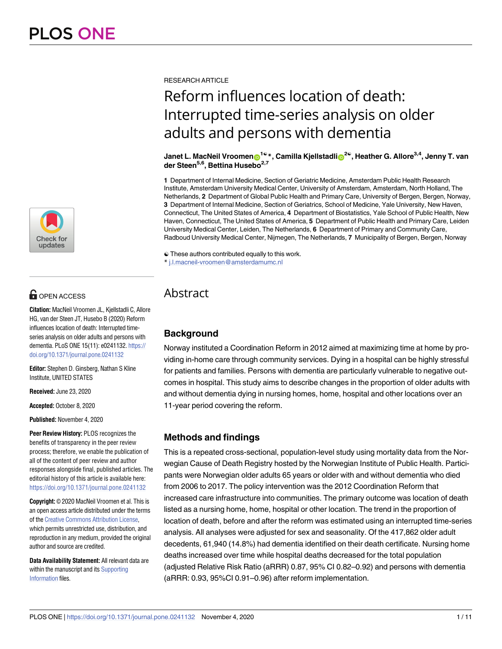

# **G** OPEN ACCESS

**Citation:** MacNeil Vroomen JL, Kjellstadli C, Allore HG, van der Steen JT, Husebo B (2020) Reform influences location of death: Interrupted timeseries analysis on older adults and persons with dementia. PLoS ONE 15(11): e0241132. [https://](https://doi.org/10.1371/journal.pone.0241132) [doi.org/10.1371/journal.pone.0241132](https://doi.org/10.1371/journal.pone.0241132)

**Editor:** Stephen D. Ginsberg, Nathan S Kline Institute, UNITED STATES

**Received:** June 23, 2020

**Accepted:** October 8, 2020

**Published:** November 4, 2020

**Peer Review History:** PLOS recognizes the benefits of transparency in the peer review process; therefore, we enable the publication of all of the content of peer review and author responses alongside final, published articles. The editorial history of this article is available here: <https://doi.org/10.1371/journal.pone.0241132>

**Copyright:** © 2020 MacNeil Vroomen et al. This is an open access article distributed under the terms of the Creative [Commons](http://creativecommons.org/licenses/by/4.0/) Attribution License, which permits unrestricted use, distribution, and reproduction in any medium, provided the original author and source are credited.

**Data Availability Statement:** All relevant data are within the manuscript and its [Supporting](#page-7-0) [Information](#page-7-0) files.

RESEARCH ARTICLE

# Reform influences location of death: Interrupted time-series analysis on older adults and persons with dementia

 $\lambda$ **Danet L. MacNeil Vroomen**<sup>1©</sup>\*, Camilla Kjellstadli<sub>n</sub><sup>2©</sup>, Heather G. Allore<sup>3,4</sup>, Jenny T. van **der Steen5,6, Bettina Husebo2,7**

**1** Department of Internal Medicine, Section of Geriatric Medicine, Amsterdam Public Health Research Institute, Amsterdam University Medical Center, University of Amsterdam, Amsterdam, North Holland, The Netherlands, **2** Department of Global Public Health and Primary Care, University of Bergen, Bergen, Norway, **3** Department of Internal Medicine, Section of Geriatrics, School of Medicine, Yale University, New Haven, Connecticut, The United States of America, **4** Department of Biostatistics, Yale School of Public Health, New Haven, Connecticut, The United States of America, **5** Department of Public Health and Primary Care, Leiden University Medical Center, Leiden, The Netherlands, **6** Department of Primary and Community Care, Radboud University Medical Center, Nijmegen, The Netherlands, **7** Municipality of Bergen, Bergen, Norway

☯ These authors contributed equally to this work.

\* j.l.macneil-vroomen@amsterdamumc.nl

# Abstract

# **Background**

Norway instituted a Coordination Reform in 2012 aimed at maximizing time at home by providing in-home care through community services. Dying in a hospital can be highly stressful for patients and families. Persons with dementia are particularly vulnerable to negative outcomes in hospital. This study aims to describe changes in the proportion of older adults with and without dementia dying in nursing homes, home, hospital and other locations over an 11-year period covering the reform.

# **Methods and findings**

This is a repeated cross-sectional, population-level study using mortality data from the Norwegian Cause of Death Registry hosted by the Norwegian Institute of Public Health. Participants were Norwegian older adults 65 years or older with and without dementia who died from 2006 to 2017. The policy intervention was the 2012 Coordination Reform that increased care infrastructure into communities. The primary outcome was location of death listed as a nursing home, home, hospital or other location. The trend in the proportion of location of death, before and after the reform was estimated using an interrupted time-series analysis. All analyses were adjusted for sex and seasonality. Of the 417,862 older adult decedents, 61,940 (14.8%) had dementia identified on their death certificate. Nursing home deaths increased over time while hospital deaths decreased for the total population (adjusted Relative Risk Ratio (aRRR) 0.87, 95% CI 0.82–0.92) and persons with dementia (aRRR: 0.93, 95%CI 0.91–0.96) after reform implementation.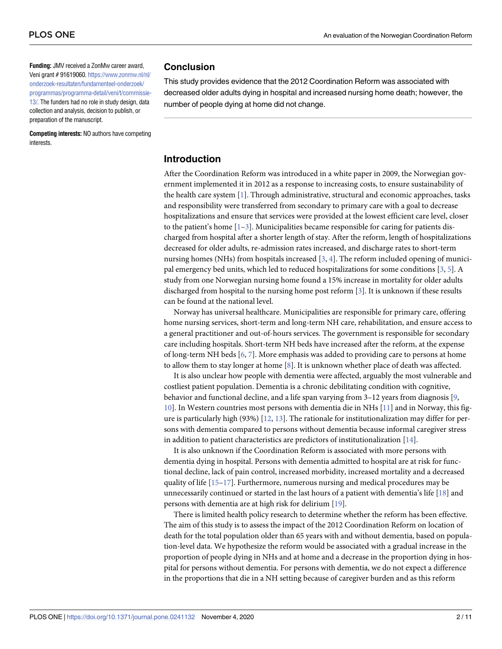<span id="page-1-0"></span>**Funding:** JMV received a ZonMw career award, Veni grant # 91619060. [https://www.zonmw.nl/nl/](https://www.zonmw.nl/nl/onderzoek-resultaten/fundamenteel-onderzoek/programmas/programma-detail/veni/t/commissie-13/) [onderzoek-resultaten/fundamenteel-onderzoek/](https://www.zonmw.nl/nl/onderzoek-resultaten/fundamenteel-onderzoek/programmas/programma-detail/veni/t/commissie-13/) [programmas/programma-detail/veni/t/commissie-](https://www.zonmw.nl/nl/onderzoek-resultaten/fundamenteel-onderzoek/programmas/programma-detail/veni/t/commissie-13/)[13/.](https://www.zonmw.nl/nl/onderzoek-resultaten/fundamenteel-onderzoek/programmas/programma-detail/veni/t/commissie-13/) The funders had no role in study design, data collection and analysis, decision to publish, or preparation of the manuscript.

**Competing interests:** NO authors have competing interests.

# **Conclusion**

This study provides evidence that the 2012 Coordination Reform was associated with decreased older adults dying in hospital and increased nursing home death; however, the number of people dying at home did not change.

# **Introduction**

After the Coordination Reform was introduced in a white paper in 2009, the Norwegian government implemented it in 2012 as a response to increasing costs, to ensure sustainability of the health care system [\[1\]](#page-8-0). Through administrative, structural and economic approaches, tasks and responsibility were transferred from secondary to primary care with a goal to decrease hospitalizations and ensure that services were provided at the lowest efficient care level, closer to the patient's home  $[1-3]$ . Municipalities became responsible for caring for patients discharged from hospital after a shorter length of stay. After the reform, length of hospitalizations decreased for older adults, re-admission rates increased, and discharge rates to short-term nursing homes (NHs) from hospitals increased [\[3,](#page-8-0) [4](#page-8-0)]. The reform included opening of municipal emergency bed units, which led to reduced hospitalizations for some conditions [[3](#page-8-0), [5\]](#page-8-0). A study from one Norwegian nursing home found a 15% increase in mortality for older adults discharged from hospital to the nursing home post reform [[3\]](#page-8-0). It is unknown if these results can be found at the national level.

Norway has universal healthcare. Municipalities are responsible for primary care, offering home nursing services, short-term and long-term NH care, rehabilitation, and ensure access to a general practitioner and out-of-hours services. The government is responsible for secondary care including hospitals. Short-term NH beds have increased after the reform, at the expense of long-term NH beds [[6](#page-8-0), [7\]](#page-8-0). More emphasis was added to providing care to persons at home to allow them to stay longer at home [\[8\]](#page-8-0). It is unknown whether place of death was affected.

It is also unclear how people with dementia were affected, arguably the most vulnerable and costliest patient population. Dementia is a chronic debilitating condition with cognitive, behavior and functional decline, and a life span varying from 3–12 years from diagnosis [\[9,](#page-8-0) [10\]](#page-8-0). In Western countries most persons with dementia die in NHs [[11](#page-8-0)] and in Norway, this figure is particularly high (93%)  $[12, 13]$  $[12, 13]$  $[12, 13]$  $[12, 13]$  $[12, 13]$ . The rationale for institutionalization may differ for persons with dementia compared to persons without dementia because informal caregiver stress in addition to patient characteristics are predictors of institutionalization [[14](#page-8-0)].

It is also unknown if the Coordination Reform is associated with more persons with dementia dying in hospital. Persons with dementia admitted to hospital are at risk for functional decline, lack of pain control, increased morbidity, increased mortality and a decreased quality of life [[15–17\]](#page-8-0). Furthermore, numerous nursing and medical procedures may be unnecessarily continued or started in the last hours of a patient with dementia's life [\[18\]](#page-8-0) and persons with dementia are at high risk for delirium [[19](#page-8-0)].

There is limited health policy research to determine whether the reform has been effective. The aim of this study is to assess the impact of the 2012 Coordination Reform on location of death for the total population older than 65 years with and without dementia, based on population-level data. We hypothesize the reform would be associated with a gradual increase in the proportion of people dying in NHs and at home and a decrease in the proportion dying in hospital for persons without dementia. For persons with dementia, we do not expect a difference in the proportions that die in a NH setting because of caregiver burden and as this reform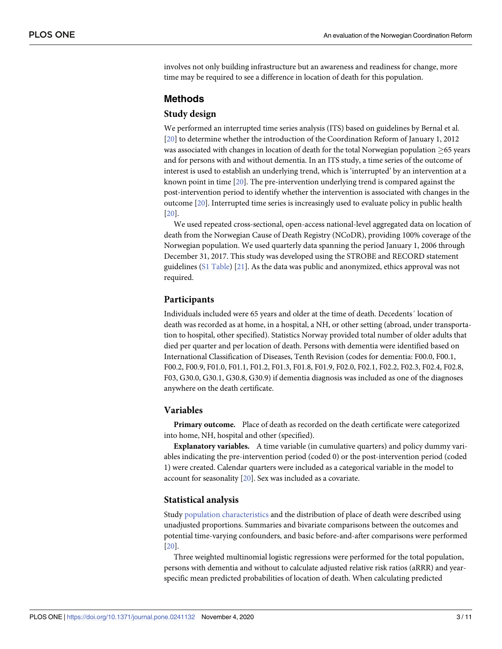<span id="page-2-0"></span>involves not only building infrastructure but an awareness and readiness for change, more time may be required to see a difference in location of death for this population.

# **Methods**

# **Study design**

We performed an interrupted time series analysis (ITS) based on guidelines by Bernal et al. [\[20\]](#page-8-0) to determine whether the introduction of the Coordination Reform of January 1, 2012 was associated with changes in location of death for the total Norwegian population  $>65$  years and for persons with and without dementia. In an ITS study, a time series of the outcome of interest is used to establish an underlying trend, which is 'interrupted' by an intervention at a known point in time [[20](#page-8-0)]. The pre-intervention underlying trend is compared against the post-intervention period to identify whether the intervention is associated with changes in the outcome [[20](#page-8-0)]. Interrupted time series is increasingly used to evaluate policy in public health [\[20\]](#page-8-0).

We used repeated cross-sectional, open-access national-level aggregated data on location of death from the Norwegian Cause of Death Registry (NCoDR), providing 100% coverage of the Norwegian population. We used quarterly data spanning the period January 1, 2006 through December 31, 2017. This study was developed using the STROBE and RECORD statement guidelines (S1 [Table](#page-7-0)) [\[21\]](#page-8-0). As the data was public and anonymized, ethics approval was not required.

#### **Participants**

Individuals included were 65 years and older at the time of death. Decedents´ location of death was recorded as at home, in a hospital, a NH, or other setting (abroad, under transportation to hospital, other specified). Statistics Norway provided total number of older adults that died per quarter and per location of death. Persons with dementia were identified based on International Classification of Diseases, Tenth Revision (codes for dementia: F00.0, F00.1, F00.2, F00.9, F01.0, F01.1, F01.2, F01.3, F01.8, F01.9, F02.0, F02.1, F02.2, F02.3, F02.4, F02.8, F03, G30.0, G30.1, G30.8, G30.9) if dementia diagnosis was included as one of the diagnoses anywhere on the death certificate.

#### **Variables**

**Primary outcome.** Place of death as recorded on the death certificate were categorized into home, NH, hospital and other (specified).

**Explanatory variables.** A time variable (in cumulative quarters) and policy dummy variables indicating the pre-intervention period (coded 0) or the post-intervention period (coded 1) were created. Calendar quarters were included as a categorical variable in the model to account for seasonality [[20](#page-8-0)]. Sex was included as a covariate.

# **Statistical analysis**

Study population [characteristics](https://www.sciencedirect.com/topics/medicine-and-dentistry/population-and-population-related-phenomena) and the distribution of place of death were described using unadjusted proportions. Summaries and bivariate comparisons between the outcomes and potential time-varying confounders, and basic before-and-after comparisons were performed [\[20\]](#page-8-0).

Three weighted multinomial logistic regressions were performed for the total population, persons with dementia and without to calculate adjusted relative risk ratios (aRRR) and yearspecific mean predicted probabilities of location of death. When calculating predicted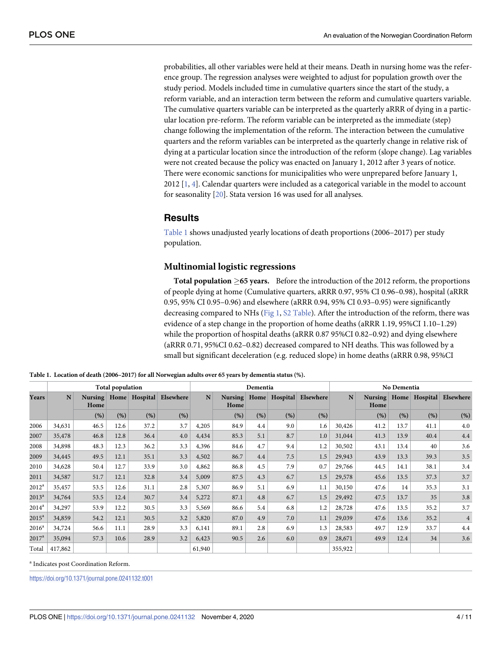<span id="page-3-0"></span>probabilities, all other variables were held at their means. Death in nursing home was the reference group. The regression analyses were weighted to adjust for population growth over the study period. Models included time in cumulative quarters since the start of the study, a reform variable, and an interaction term between the reform and cumulative quarters variable. The cumulative quarters variable can be interpreted as the quarterly aRRR of dying in a particular location pre-reform. The reform variable can be interpreted as the immediate (step) change following the implementation of the reform. The interaction between the cumulative quarters and the reform variables can be interpreted as the quarterly change in relative risk of dying at a particular location since the introduction of the reform (slope change). Lag variables were not created because the policy was enacted on January 1, 2012 after 3 years of notice. There were economic sanctions for municipalities who were unprepared before January 1, 2012 [[1](#page-8-0), [4\]](#page-8-0). Calendar quarters were included as a categorical variable in the model to account for seasonality [[20](#page-8-0)]. Stata version 16 was used for all analyses.

# **Results**

Table 1 shows unadjusted yearly locations of death proportions (2006–2017) per study population.

# **Multinomial logistic regressions**

**Total population** �**65 years.** Before the introduction of the 2012 reform, the proportions of people dying at home (Cumulative quarters, aRRR 0.97, 95% CI 0.96–0.98), hospital (aRRR 0.95, 95% CI 0.95–0.96) and elsewhere (aRRR 0.94, 95% CI 0.93–0.95) were significantly decreasing compared to NHs ([Fig](#page-4-0) 1, S2 [Table\)](#page-7-0). After the introduction of the reform, there was evidence of a step change in the proportion of home deaths (aRRR 1.19, 95%CI 1.10–1.29) while the proportion of hospital deaths (aRRR 0.87 95%CI 0.82–0.92) and dying elsewhere (aRRR 0.71, 95%CI 0.62–0.82) decreased compared to NH deaths. This was followed by a small but significant deceleration (e.g. reduced slope) in home deaths (aRRR 0.98, 95%CI

|                   | <b>Total population</b> |                        |      |                 |           |        | Dementia               |      |               |           |         | No Dementia     |      |               |                |  |
|-------------------|-------------------------|------------------------|------|-----------------|-----------|--------|------------------------|------|---------------|-----------|---------|-----------------|------|---------------|----------------|--|
| <b>Years</b>      | N                       | <b>Nursing</b><br>Home |      | Home   Hospital | Elsewhere | N      | <b>Nursing</b><br>Home |      | Home Hospital | Elsewhere | N       | Nursing<br>Home |      | Home Hospital | Elsewhere      |  |
|                   |                         | (%)                    | (% ) | (%)             | (%)       |        | (%)                    | (% ) | (% )          | (% )      |         | (% )            | (% ) | (% )          | (% )           |  |
| 2006              | 34,631                  | 46.5                   | 12.6 | 37.2            | 3.7       | 4,205  | 84.9                   | 4.4  | 9.0           | 1.6       | 30,426  | 41.2            | 13.7 | 41.1          | 4.0            |  |
| 2007              | 35,478                  | 46.8                   | 12.8 | 36.4            | 4.0       | 4,434  | 85.3                   | 5.1  | 8.7           | 1.0       | 31,044  | 41.3            | 13.9 | 40.4          | 4.4            |  |
| 2008              | 34,898                  | 48.3                   | 12.3 | 36.2            | 3.3       | 4,396  | 84.6                   | 4.7  | 9.4           | 1.2       | 30,502  | 43.1            | 13.4 | 40            | 3.6            |  |
| 2009              | 34,445                  | 49.5                   | 12.1 | 35.1            | 3.3       | 4,502  | 86.7                   | 4.4  | 7.5           | 1.5       | 29,943  | 43.9            | 13.3 | 39.3          | 3.5            |  |
| 2010              | 34,628                  | 50.4                   | 12.7 | 33.9            | 3.0       | 4,862  | 86.8                   | 4.5  | 7.9           | 0.7       | 29,766  | 44.5            | 14.1 | 38.1          | 3.4            |  |
| 2011              | 34,587                  | 51.7                   | 12.1 | 32.8            | 3.4       | 5,009  | 87.5                   | 4.3  | 6.7           | 1.5       | 29,578  | 45.6            | 13.5 | 37.3          | 3.7            |  |
| 2012 <sup>a</sup> | 35,457                  | 53.5                   | 12.6 | 31.1            | 2.8       | 5,307  | 86.9                   | 5.1  | 6.9           | 1.1       | 30,150  | 47.6            | 14   | 35.3          | 3.1            |  |
| $2013^a$          | 34,764                  | 53.5                   | 12.4 | 30.7            | 3.4       | 5,272  | 87.1                   | 4.8  | 6.7           | 1.5       | 29,492  | 47.5            | 13.7 | 35            | 3.8            |  |
| $2014^a$          | 34,297                  | 53.9                   | 12.2 | 30.5            | 3.3       | 5,569  | 86.6                   | 5.4  | 6.8           | 1.2       | 28,728  | 47.6            | 13.5 | 35.2          | 3.7            |  |
| $2015^a$          | 34,859                  | 54.2                   | 12.1 | 30.5            | 3.2       | 5,820  | 87.0                   | 4.9  | 7.0           | 1.1       | 29,039  | 47.6            | 13.6 | 35.2          | $\overline{4}$ |  |
| $2016^a$          | 34,724                  | 56.6                   | 11.1 | 28.9            | 3.3       | 6,141  | 89.1                   | 2.8  | 6.9           | 1.3       | 28,583  | 49.7            | 12.9 | 33.7          | 4.4            |  |
| $2017^{\rm a}$    | 35,094                  | 57.3                   | 10.6 | 28.9            | 3.2       | 6,423  | 90.5                   | 2.6  | 6.0           | 0.9       | 28,671  | 49.9            | 12.4 | 34            | 3.6            |  |
| Total             | 417,862                 |                        |      |                 |           | 61,940 |                        |      |               |           | 355,922 |                 |      |               |                |  |

**Table 1. Location of death (2006–2017) for all Norwegian adults over 65 years by dementia status (%).**

<sup>a</sup> Indicates post Coordination Reform.

<https://doi.org/10.1371/journal.pone.0241132.t001>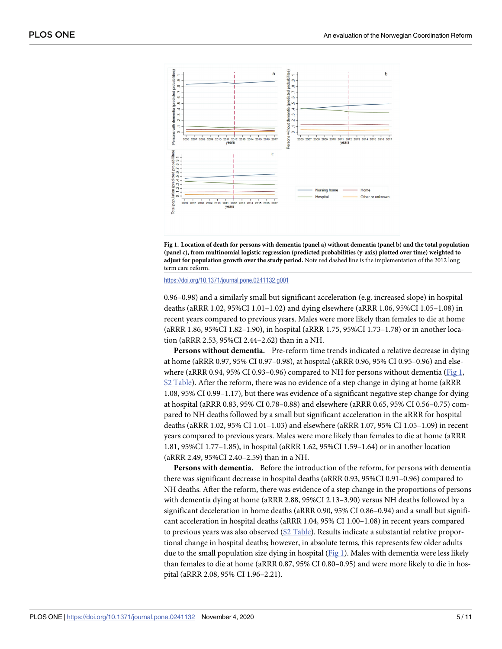<span id="page-4-0"></span>

[Fig](#page-3-0) 1. Location of death for persons with dementia (panel a) without dementia (panel b) and the total population **(panel c), from multinomial logistic regression (predicted probabilities (y-axis) plotted over time) weighted to adjust for population growth over the study period.** Note red dashed line is the implementation of the 2012 long term care reform.

<https://doi.org/10.1371/journal.pone.0241132.g001>

0.96–0.98) and a similarly small but significant acceleration (e.g. increased slope) in hospital deaths (aRRR 1.02, 95%CI 1.01–1.02) and dying elsewhere (aRRR 1.06, 95%CI 1.05–1.08) in recent years compared to previous years. Males were more likely than females to die at home (aRRR 1.86, 95%CI 1.82–1.90), in hospital (aRRR 1.75, 95%CI 1.73–1.78) or in another location (aRRR 2.53, 95%CI 2.44–2.62) than in a NH.

**Persons without dementia.** Pre-reform time trends indicated a relative decrease in dying at home (aRRR 0.97, 95% CI 0.97–0.98), at hospital (aRRR 0.96, 95% CI 0.95–0.96) and elsewhere (aRRR 0.94, 95% CI 0.93–0.96) compared to NH for persons without dementia (Fig 1, S2 [Table\)](#page-7-0). After the reform, there was no evidence of a step change in dying at home (aRRR 1.08, 95% CI 0.99–1.17), but there was evidence of a significant negative step change for dying at hospital (aRRR 0.83, 95% CI 0.78–0.88) and elsewhere (aRRR 0.65, 95% CI 0.56–0.75) compared to NH deaths followed by a small but significant acceleration in the aRRR for hospital deaths (aRRR 1.02, 95% CI 1.01–1.03) and elsewhere (aRRR 1.07, 95% CI 1.05–1.09) in recent years compared to previous years. Males were more likely than females to die at home (aRRR 1.81, 95%CI 1.77–1.85), in hospital (aRRR 1.62, 95%CI 1.59–1.64) or in another location (aRRR 2.49, 95%CI 2.40–2.59) than in a NH.

**Persons with dementia.** Before the introduction of the reform, for persons with dementia there was significant decrease in hospital deaths (aRRR 0.93, 95%CI 0.91–0.96) compared to NH deaths. After the reform, there was evidence of a step change in the proportions of persons with dementia dying at home (aRRR 2.88, 95%CI 2.13–3.90) versus NH deaths followed by a significant deceleration in home deaths (aRRR 0.90, 95% CI 0.86–0.94) and a small but significant acceleration in hospital deaths (aRRR 1.04, 95% CI 1.00–1.08) in recent years compared to previous years was also observed (S2 [Table](#page-7-0)). Results indicate a substantial relative proportional change in hospital deaths; however, in absolute terms, this represents few older adults due to the small population size dying in hospital (Fig 1). Males with dementia were less likely than females to die at home (aRRR 0.87, 95% CI 0.80–0.95) and were more likely to die in hospital (aRRR 2.08, 95% CI 1.96–2.21).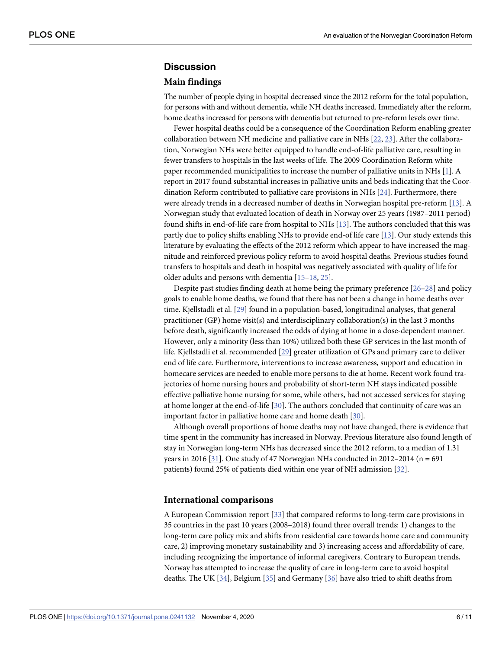# <span id="page-5-0"></span>**Discussion**

### **Main findings**

The number of people dying in hospital decreased since the 2012 reform for the total population, for persons with and without dementia, while NH deaths increased. Immediately after the reform, home deaths increased for persons with dementia but returned to pre-reform levels over time.

Fewer hospital deaths could be a consequence of the Coordination Reform enabling greater collaboration between NH medicine and palliative care in NHs [[22](#page-9-0), [23](#page-9-0)]. After the collaboration, Norwegian NHs were better equipped to handle end-of-life palliative care, resulting in fewer transfers to hospitals in the last weeks of life. The 2009 Coordination Reform white paper recommended municipalities to increase the number of palliative units in NHs [\[1\]](#page-8-0). A report in 2017 found substantial increases in palliative units and beds indicating that the Coordination Reform contributed to palliative care provisions in NHs [\[24\]](#page-9-0). Furthermore, there were already trends in a decreased number of deaths in Norwegian hospital pre-reform [\[13\]](#page-8-0). A Norwegian study that evaluated location of death in Norway over 25 years (1987–2011 period) found shifts in end-of-life care from hospital to NHs [\[13\]](#page-8-0). The authors concluded that this was partly due to policy shifts enabling NHs to provide end-of life care [\[13\]](#page-8-0). Our study extends this literature by evaluating the effects of the 2012 reform which appear to have increased the magnitude and reinforced previous policy reform to avoid hospital deaths. Previous studies found transfers to hospitals and death in hospital was negatively associated with quality of life for older adults and persons with dementia [\[15–18,](#page-8-0) [25\]](#page-9-0).

Despite past studies finding death at home being the primary preference [\[26–28](#page-9-0)] and policy goals to enable home deaths, we found that there has not been a change in home deaths over time. Kjellstadli et al. [[29](#page-9-0)] found in a population-based, longitudinal analyses, that general practitioner (GP) home visit(s) and interdisciplinary collaboration(s) in the last 3 months before death, significantly increased the odds of dying at home in a dose-dependent manner. However, only a minority (less than 10%) utilized both these GP services in the last month of life. Kjellstadli et al. recommended [\[29\]](#page-9-0) greater utilization of GPs and primary care to deliver end of life care. Furthermore, interventions to increase awareness, support and education in homecare services are needed to enable more persons to die at home. Recent work found trajectories of home nursing hours and probability of short-term NH stays indicated possible effective palliative home nursing for some, while others, had not accessed services for staying at home longer at the end-of-life [\[30\]](#page-9-0). The authors concluded that continuity of care was an important factor in palliative home care and home death [\[30\]](#page-9-0).

Although overall proportions of home deaths may not have changed, there is evidence that time spent in the community has increased in Norway. Previous literature also found length of stay in Norwegian long-term NHs has decreased since the 2012 reform, to a median of 1.31 years in 2016 [[31](#page-9-0)]. One study of 47 Norwegian NHs conducted in 2012–2014 ( $n = 691$ ) patients) found 25% of patients died within one year of NH admission [\[32\]](#page-9-0).

#### **International comparisons**

A European Commission report [\[33\]](#page-9-0) that compared reforms to long-term care provisions in 35 countries in the past 10 years (2008–2018) found three overall trends: 1) changes to the long-term care policy mix and shifts from residential care towards home care and community care, 2) improving monetary sustainability and 3) increasing access and affordability of care, including recognizing the importance of informal caregivers. Contrary to European trends, Norway has attempted to increase the quality of care in long-term care to avoid hospital deaths. The UK [[34](#page-9-0)], Belgium [[35](#page-9-0)] and Germany [[36](#page-9-0)] have also tried to shift deaths from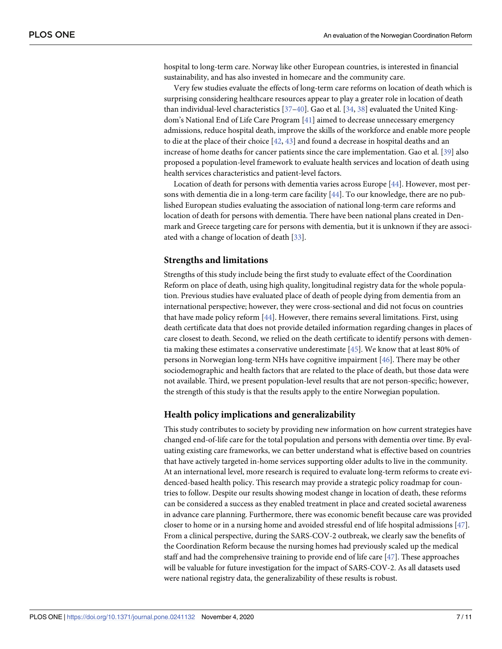<span id="page-6-0"></span>hospital to long-term care. Norway like other European countries, is interested in financial sustainability, and has also invested in homecare and the community care.

Very few studies evaluate the effects of long-term care reforms on location of death which is surprising considering healthcare resources appear to play a greater role in location of death than individual-level characteristics [\[37–](#page-9-0)[40](#page-10-0)]. Gao et al. [[34](#page-9-0), [38](#page-9-0)] evaluated the United Kingdom's National End of Life Care Program [[41](#page-10-0)] aimed to decrease unnecessary emergency admissions, reduce hospital death, improve the skills of the workforce and enable more people to die at the place of their choice [\[42,](#page-10-0) [43\]](#page-10-0) and found a decrease in hospital deaths and an increase of home deaths for cancer patients since the care implementation. Gao et al. [\[39\]](#page-10-0) also proposed a population-level framework to evaluate health services and location of death using health services characteristics and patient-level factors.

Location of death for persons with dementia varies across Europe [\[44\]](#page-10-0). However, most persons with dementia die in a long-term care facility [\[44\]](#page-10-0). To our knowledge, there are no published European studies evaluating the association of national long-term care reforms and location of death for persons with dementia. There have been national plans created in Denmark and Greece targeting care for persons with dementia, but it is unknown if they are associated with a change of location of death [[33](#page-9-0)].

### **Strengths and limitations**

Strengths of this study include being the first study to evaluate effect of the Coordination Reform on place of death, using high quality, longitudinal registry data for the whole population. Previous studies have evaluated place of death of people dying from dementia from an international perspective; however, they were cross-sectional and did not focus on countries that have made policy reform [\[44\]](#page-10-0). However, there remains several limitations. First, using death certificate data that does not provide detailed information regarding changes in places of care closest to death. Second, we relied on the death certificate to identify persons with dementia making these estimates a conservative underestimate [[45](#page-10-0)]. We know that at least 80% of persons in Norwegian long-term NHs have cognitive impairment [\[46](#page-10-0)]. There may be other sociodemographic and health factors that are related to the place of death, but those data were not available. Third, we present population-level results that are not person-specific; however, the strength of this study is that the results apply to the entire Norwegian population.

# **Health policy implications and generalizability**

This study contributes to society by providing new information on how current strategies have changed end-of-life care for the total population and persons with dementia over time. By evaluating existing care frameworks, we can better understand what is effective based on countries that have actively targeted in-home services supporting older adults to live in the community. At an international level, more research is required to evaluate long-term reforms to create evidenced-based health policy. This research may provide a strategic policy roadmap for countries to follow. Despite our results showing modest change in location of death, these reforms can be considered a success as they enabled treatment in place and created societal awareness in advance care planning. Furthermore, there was economic benefit because care was provided closer to home or in a nursing home and avoided stressful end of life hospital admissions [[47](#page-10-0)]. From a clinical perspective, during the SARS-COV-2 outbreak, we clearly saw the benefits of the Coordination Reform because the nursing homes had previously scaled up the medical staff and had the comprehensive training to provide end of life care [\[47\]](#page-10-0). These approaches will be valuable for future investigation for the impact of SARS-COV-2. As all datasets used were national registry data, the generalizability of these results is robust.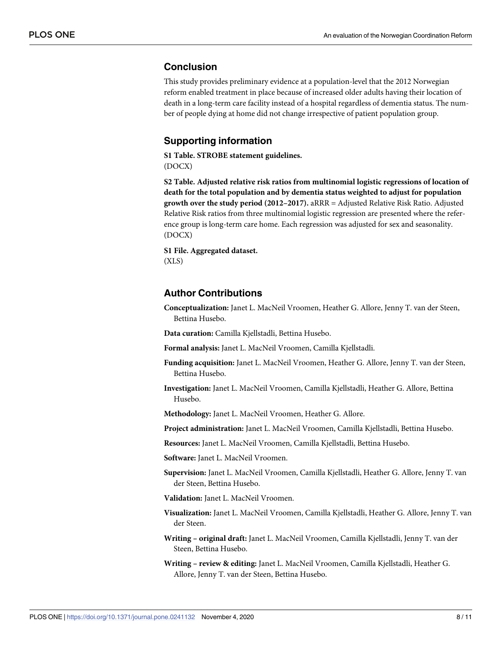# <span id="page-7-0"></span>**Conclusion**

This study provides preliminary evidence at a population-level that the 2012 Norwegian reform enabled treatment in place because of increased older adults having their location of death in a long-term care facility instead of a hospital regardless of dementia status. The number of people dying at home did not change irrespective of patient population group.

# **Supporting information**

**S1 [Table.](http://www.plosone.org/article/fetchSingleRepresentation.action?uri=info:doi/10.1371/journal.pone.0241132.s001) STROBE statement guidelines.** (DOCX)

**S2 [Table.](http://www.plosone.org/article/fetchSingleRepresentation.action?uri=info:doi/10.1371/journal.pone.0241132.s002) Adjusted relative risk ratios from multinomial logistic regressions of location of death for the total population and by dementia status weighted to adjust for population growth over the study period (2012–2017).** aRRR = Adjusted Relative Risk Ratio. Adjusted Relative Risk ratios from three multinomial logistic regression are presented where the reference group is long-term care home. Each regression was adjusted for sex and seasonality. (DOCX)

**S1 [File.](http://www.plosone.org/article/fetchSingleRepresentation.action?uri=info:doi/10.1371/journal.pone.0241132.s003) Aggregated dataset.** (XLS)

# **Author Contributions**

**Conceptualization:** Janet L. MacNeil Vroomen, Heather G. Allore, Jenny T. van der Steen, Bettina Husebo.

**Data curation:** Camilla Kjellstadli, Bettina Husebo.

**Formal analysis:** Janet L. MacNeil Vroomen, Camilla Kjellstadli.

**Funding acquisition:** Janet L. MacNeil Vroomen, Heather G. Allore, Jenny T. van der Steen, Bettina Husebo.

**Investigation:** Janet L. MacNeil Vroomen, Camilla Kjellstadli, Heather G. Allore, Bettina Husebo.

**Methodology:** Janet L. MacNeil Vroomen, Heather G. Allore.

**Project administration:** Janet L. MacNeil Vroomen, Camilla Kjellstadli, Bettina Husebo.

**Resources:** Janet L. MacNeil Vroomen, Camilla Kjellstadli, Bettina Husebo.

**Software:** Janet L. MacNeil Vroomen.

**Supervision:** Janet L. MacNeil Vroomen, Camilla Kjellstadli, Heather G. Allore, Jenny T. van der Steen, Bettina Husebo.

**Validation:** Janet L. MacNeil Vroomen.

**Visualization:** Janet L. MacNeil Vroomen, Camilla Kjellstadli, Heather G. Allore, Jenny T. van der Steen.

**Writing – original draft:** Janet L. MacNeil Vroomen, Camilla Kjellstadli, Jenny T. van der Steen, Bettina Husebo.

**Writing – review & editing:** Janet L. MacNeil Vroomen, Camilla Kjellstadli, Heather G. Allore, Jenny T. van der Steen, Bettina Husebo.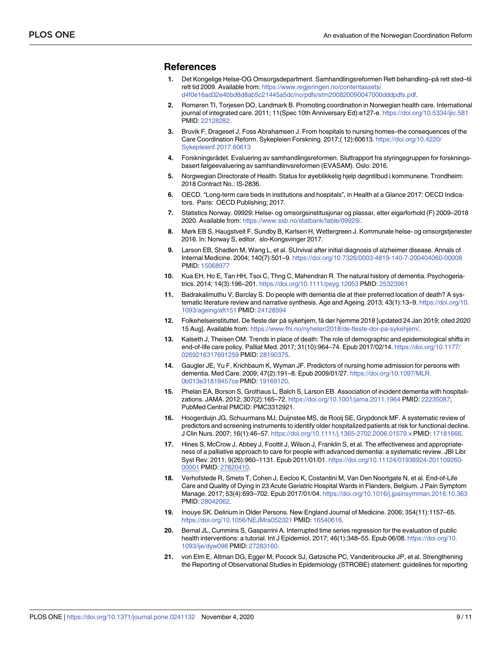# <span id="page-8-0"></span>**References**

- **[1](#page-1-0).** Det Kongelige Helse-OG Omsorgsdepartment. Samhandlingsreformen Rett behandling–på rett sted–til rett tid 2009. Available from: [https://www.regjeringen.no/contentassets/](https://www.regjeringen.no/contentassets/d4f0e16ad32e4bbd8d8ab5c21445a5dc/no/pdfs/stm200820090047000dddpdfs.pdf) [d4f0e16ad32e4bbd8d8ab5c21445a5dc/no/pdfs/stm200820090047000dddpdfs.pdf.](https://www.regjeringen.no/contentassets/d4f0e16ad32e4bbd8d8ab5c21445a5dc/no/pdfs/stm200820090047000dddpdfs.pdf)
- **2.** Romøren TI, Torjesen DO, Landmark B. Promoting coordination in Norwegian health care. International journal of integrated care. 2011; 11(Spec 10th Anniversary Ed):e127-e. <https://doi.org/10.5334/ijic.581> PMID: [22128282](http://www.ncbi.nlm.nih.gov/pubmed/22128282).
- **[3](#page-1-0).** Bruvik F, Drageset J, Foss Abrahamsen J. From hospitals to nursing homes–the consequences of the Care Coordination Reform. Sykepleien Forskning. 2017;( 12):60613. [https://doi.org/10.4220/](https://doi.org/10.4220/Sykepleienf.2017.60613) [Sykepleienf.2017.60613](https://doi.org/10.4220/Sykepleienf.2017.60613)
- **[4](#page-1-0).** Forskningsrådet. Evaluering av samhandlingsreformen. Sluttrapport fra styringsgruppen for forskningsbasert følgeevaluering av samhandlinvsreformen (EVASAM). Oslo: 2016.
- **[5](#page-1-0).** Norgwegian Directorate of Health. Status for øyeblikkelig hjelp døgntilbud i kommunene. Trondheim: 2018 Contract No.: IS-2836.
- **[6](#page-1-0).** OECD. "Long-term care beds in institutions and hospitals", in Health at a Glance 2017: OECD Indicators. Paris: OECD Publishing; 2017.
- **[7](#page-1-0).** Statistics Norway. 09929: Helse- og omsorgsinstitusjonar og plassar, etter eigarforhold (F) 2009–2018 2020. Available from: [https://www.ssb.no/statbank/table/09929/.](https://www.ssb.no/statbank/table/09929/)
- **[8](#page-1-0).** Mørk EB S, Haugstveit F, Sundby B, Karlsen H, Wettergreen J. Kommunale helse- og omsorgstjenester 2016. In: Norway S, editor. slo-Kongsvinger 2017.
- **[9](#page-1-0).** Larson EB, Shadlen M, Wang L, et al. SUrvival after initial diagnosis of alzheimer disease. Annals of Internal Medicine. 2004; 140(7):501–9. <https://doi.org/10.7326/0003-4819-140-7-200404060-00008> PMID: [15068977](http://www.ncbi.nlm.nih.gov/pubmed/15068977)
- **[10](#page-1-0).** Kua EH, Ho E, Tan HH, Tsoi C, Thng C, Mahendran R. The natural history of dementia. Psychogeriatrics. 2014; 14(3):196–201. <https://doi.org/10.1111/psyg.12053> PMID: [25323961](http://www.ncbi.nlm.nih.gov/pubmed/25323961)
- **[11](#page-1-0).** Badrakalimuthu V, Barclay S. Do people with dementia die at their preferred location of death? A systematic literature review and narrative synthesis. Age and Ageing. 2013; 43(1):13–9. [https://doi.org/10.](https://doi.org/10.1093/ageing/aft151) [1093/ageing/aft151](https://doi.org/10.1093/ageing/aft151) PMID: [24128594](http://www.ncbi.nlm.nih.gov/pubmed/24128594)
- **[12](#page-1-0).** Folkehelseinstituttet. De fleste dør på sykehjem, få dør hjemme 2018 [updated 24 Jan 2019; cited 2020 15 Aug]. Available from: <https://www.fhi.no/nyheter/2018/de-fleste-dor-pa-sykehjem/>.
- **[13](#page-1-0).** Kalseth J, Theisen OM. Trends in place of death: The role of demographic and epidemiological shifts in end-of-life care policy. Palliat Med. 2017; 31(10):964–74. Epub 2017/02/14. [https://doi.org/10.1177/](https://doi.org/10.1177/0269216317691259) [0269216317691259](https://doi.org/10.1177/0269216317691259) PMID: [28190375.](http://www.ncbi.nlm.nih.gov/pubmed/28190375)
- **[14](#page-1-0).** Gaugler JE, Yu F, Krichbaum K, Wyman JF. Predictors of nursing home admission for persons with dementia. Med Care. 2009; 47(2):191–8. Epub 2009/01/27. [https://doi.org/10.1097/MLR.](https://doi.org/10.1097/MLR.0b013e31818457ce) [0b013e31818457ce](https://doi.org/10.1097/MLR.0b013e31818457ce) PMID: [19169120](http://www.ncbi.nlm.nih.gov/pubmed/19169120).
- **[15](#page-1-0).** Phelan EA, Borson S, Grothaus L, Balch S, Larson EB. Association of incident dementia with hospitalizations. JAMA. 2012; 307(2):165–72. <https://doi.org/10.1001/jama.2011.1964> PMID: [22235087](http://www.ncbi.nlm.nih.gov/pubmed/22235087); PubMed Central PMCID: PMC3312921.
- **16.** Hoogerduijn JG, Schuurmans MJ, Duijnstee MS, de Rooij SE, Grypdonck MF. A systematic review of predictors and screening instruments to identify older hospitalized patients at risk for functional decline. J Clin Nurs. 2007; 16(1):46–57. <https://doi.org/10.1111/j.1365-2702.2006.01579.x> PMID: [17181666.](http://www.ncbi.nlm.nih.gov/pubmed/17181666)
- **[17](#page-1-0).** Hines S, McCrow J, Abbey J, Foottit J, Wilson J, Franklin S, et al. The effectiveness and appropriateness of a palliative approach to care for people with advanced dementia: a systematic review. JBI Libr Syst Rev. 2011; 9(26):960–1131. Epub 2011/01/01. [https://doi.org/10.11124/01938924-201109260-](https://doi.org/10.11124/01938924-201109260-00001) [00001](https://doi.org/10.11124/01938924-201109260-00001) PMID: [27820410.](http://www.ncbi.nlm.nih.gov/pubmed/27820410)
- **[18](#page-1-0).** Verhofstede R, Smets T, Cohen J, Eecloo K, Costantini M, Van Den Noortgate N, et al. End-of-Life Care and Quality of Dying in 23 Acute Geriatric Hospital Wards in Flanders, Belgium. J Pain Symptom Manage. 2017; 53(4):693–702. Epub 2017/01/04. <https://doi.org/10.1016/j.jpainsymman.2016.10.363> PMID: [28042062](http://www.ncbi.nlm.nih.gov/pubmed/28042062).
- **[19](#page-1-0).** Inouye SK. Delirium in Older Persons. New England Journal of Medicine. 2006; 354(11):1157–65. <https://doi.org/10.1056/NEJMra052321> PMID: [16540616](http://www.ncbi.nlm.nih.gov/pubmed/16540616).
- **[20](#page-2-0).** Bernal JL, Cummins S, Gasparrini A. Interrupted time series regression for the evaluation of public health interventions: a tutorial. Int J Epidemiol. 2017; 46(1):348–55. Epub 06/08. [https://doi.org/10.](https://doi.org/10.1093/ije/dyw098) [1093/ije/dyw098](https://doi.org/10.1093/ije/dyw098) PMID: [27283160.](http://www.ncbi.nlm.nih.gov/pubmed/27283160)
- **[21](#page-2-0).** von Elm E, Altman DG, Egger M, Pocock SJ, Gøtzsche PC, Vandenbroucke JP, et al. Strengthening the Reporting of Observational Studies in Epidemiology (STROBE) statement: guidelines for reporting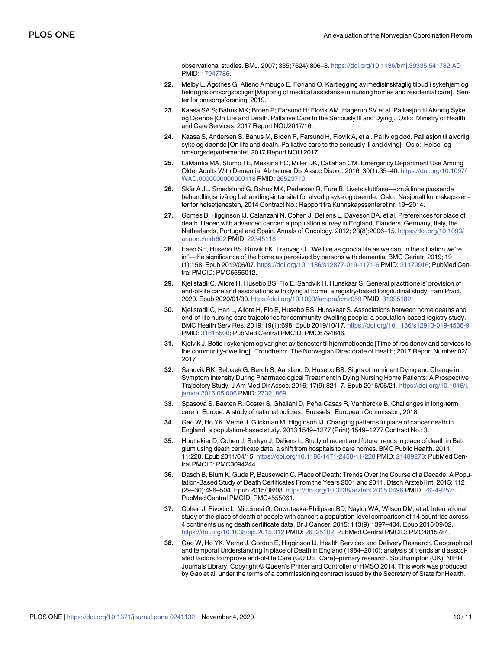observational studies. BMJ. 2007; 335(7624):806–8. <https://doi.org/10.1136/bmj.39335.541782.AD> PMID: [17947786](http://www.ncbi.nlm.nih.gov/pubmed/17947786).

- <span id="page-9-0"></span>**[22](#page-5-0).** Melby L, Ågotnes G, Atieno Ambugo E, Førland O. Kartlegging av medisinskfaglig tilbud i sykehjem og heldøgns omsorgsboliger [Mapping of medical assistanse in nursing homes and residential care]. Senter for omsorgsforsning, 2019.
- **[23](#page-5-0).** Kaasa SA S; Bahus MK; Broen P; Farsund H; Flovik AM, Hagerup SV et al. Palliasjon til Alvorlig Syke og Døende [On Life and Death. Pallative Care to the Seriously Ill and Dying]. Oslo: Ministry of Health and Care Services, 2017 Report NOU2017/16.
- **[24](#page-5-0).** Kaasa S, Andersen S, Bahus M, Broen P, Farsund H, Flovik A, et al. På liv og død. Palliasjon til alvorlig syke og døende [On life and death. Palliative care to the seriously ill and dying]. Oslo: Helse- og omsorgsdepartementet, 2017 Report NOU 2017.
- **[25](#page-5-0).** LaMantia MA, Stump TE, Messina FC, Miller DK, Callahan CM. Emergency Department Use Among Older Adults With Dementia. Alzheimer Dis Assoc Disord. 2016; 30(1):35–40. [https://doi.org/10.1097/](https://doi.org/10.1097/WAD.0000000000000118) [WAD.0000000000000118](https://doi.org/10.1097/WAD.0000000000000118) PMID: [26523710](http://www.ncbi.nlm.nih.gov/pubmed/26523710).
- **[26](#page-5-0).** Skår Å JL, Smedslund G, Bahus MK, Pedersen R, Fure B. Livets sluttfase—om å finne passende behandlingsnivå og behandlingsintensitet for alvorlig syke og døende. Oslo: Nasjonalt kunnskapssenter for helsetjenesten, 2014 Contract No.: Rapport fra Kunnskapssenteret nr. 19−2014.
- **27.** Gomes B, Higginson IJ, Calanzani N, Cohen J, Deliens L, Daveson BA, et al. Preferences for place of death if faced with advanced cancer: a population survey in England, Flanders, Germany, Italy, the Netherlands, Portugal and Spain. Annals of Oncology. 2012; 23(8):2006–15. [https://doi.org/10.1093/](https://doi.org/10.1093/annonc/mdr602) [annonc/mdr602](https://doi.org/10.1093/annonc/mdr602) PMID: [22345118](http://www.ncbi.nlm.nih.gov/pubmed/22345118)
- **[28](#page-5-0).** Faeo SE, Husebo BS, Bruvik FK, Tranvag O. "We live as good a life as we can, in the situation we're in"—the significance of the home as perceived by persons with dementia. BMC Geriatr. 2019; 19 (1):158. Epub 2019/06/07. <https://doi.org/10.1186/s12877-019-1171-6> PMID: [31170916](http://www.ncbi.nlm.nih.gov/pubmed/31170916); PubMed Central PMCID: PMC6555012.
- **[29](#page-5-0).** Kjellstadli C, Allore H, Husebo BS, Flo E, Sandvik H, Hunskaar S. General practitioners' provision of end-of-life care and associations with dying at home: a registry-based longitudinal study. Fam Pract. 2020. Epub 2020/01/30. <https://doi.org/10.1093/fampra/cmz059> PMID: [31995182](http://www.ncbi.nlm.nih.gov/pubmed/31995182).
- **[30](#page-5-0).** Kjellstadli C, Han L, Allore H, Flo E, Husebo BS, Hunskaar S. Associations between home deaths and end-of-life nursing care trajectories for community-dwelling people: a population-based registry study. BMC Health Serv Res. 2019; 19(1):698. Epub 2019/10/17. <https://doi.org/10.1186/s12913-019-4536-9> PMID: [31615500](http://www.ncbi.nlm.nih.gov/pubmed/31615500); PubMed Central PMCID: PMC6794846.
- **[31](#page-5-0).** Kjelvik J. Botid i sykehjem og varighet av tjenester til hjemmeboende [Time of residency and services to the community-dwelling]. Trondheim: The Norwegian Directorate of Health; 2017 Report Number 02/ 2017
- **[32](#page-5-0).** Sandvik RK, Selbaek G, Bergh S, Aarsland D, Husebo BS. Signs of Imminent Dying and Change in Symptom Intensity During Pharmacological Treatment in Dying Nursing Home Patients: A Prospective Trajectory Study. J Am Med Dir Assoc. 2016; 17(9):821–7. Epub 2016/06/21. [https://doi.org/10.1016/j.](https://doi.org/10.1016/j.jamda.2016.05.006) [jamda.2016.05.006](https://doi.org/10.1016/j.jamda.2016.05.006) PMID: [27321869](http://www.ncbi.nlm.nih.gov/pubmed/27321869).
- **[33](#page-5-0).** Spasova S, Baeten R, Coster S, Ghailani D, Peña-Casas R, Vanhercke B. Challenges in long-term care in Europe. A study of national policies. Brussels: European Commission, 2018.
- **[34](#page-5-0).** Gao W, Ho YK, Verne J, Glickman M, Higginson IJ. Changing patterns in place of cancer death in England: a population-based study. 2013 1549–1277 (Print) 1549–1277 Contract No.: 3.
- **[35](#page-5-0).** Houttekier D, Cohen J, Surkyn J, Deliens L. Study of recent and future trends in place of death in Belgium using death certificate data: a shift from hospitals to care homes. BMC Public Health. 2011; 11:228. Epub 2011/04/15. <https://doi.org/10.1186/1471-2458-11-228> PMID: [21489273](http://www.ncbi.nlm.nih.gov/pubmed/21489273); PubMed Central PMCID: PMC3094244.
- **[36](#page-5-0).** Dasch B, Blum K, Gude P, Bausewein C. Place of Death: Trends Over the Course of a Decade: A Population-Based Study of Death Certificates From the Years 2001 and 2011. Dtsch Arztebl Int. 2015; 112 (29–30):496–504. Epub 2015/08/08. <https://doi.org/10.3238/arztebl.2015.0496> PMID: [26249252](http://www.ncbi.nlm.nih.gov/pubmed/26249252); PubMed Central PMCID: PMC4555061.
- **[37](#page-6-0).** Cohen J, Pivodic L, Miccinesi G, Onwuteaka-Philipsen BD, Naylor WA, Wilson DM, et al. International study of the place of death of people with cancer: a population-level comparison of 14 countries across 4 continents using death certificate data. Br J Cancer. 2015; 113(9):1397–404. Epub 2015/09/02. <https://doi.org/10.1038/bjc.2015.312> PMID: [26325102](http://www.ncbi.nlm.nih.gov/pubmed/26325102); PubMed Central PMCID: PMC4815784.
- **[38](#page-6-0).** Gao W, Ho YK, Verne J, Gordon E, Higginson IJ. Health Services and Delivery Research. Geographical and temporal Understanding In place of Death in England (1984–2010): analysis of trends and associated factors to improve end-of-life Care (GUIDE\_Care)–primary research. Southampton (UK): NIHR Journals Library. Copyright © Queen's Printer and Controller of HMSO 2014. This work was produced by Gao et al. under the terms of a commissioning contract issued by the Secretary of State for Health.